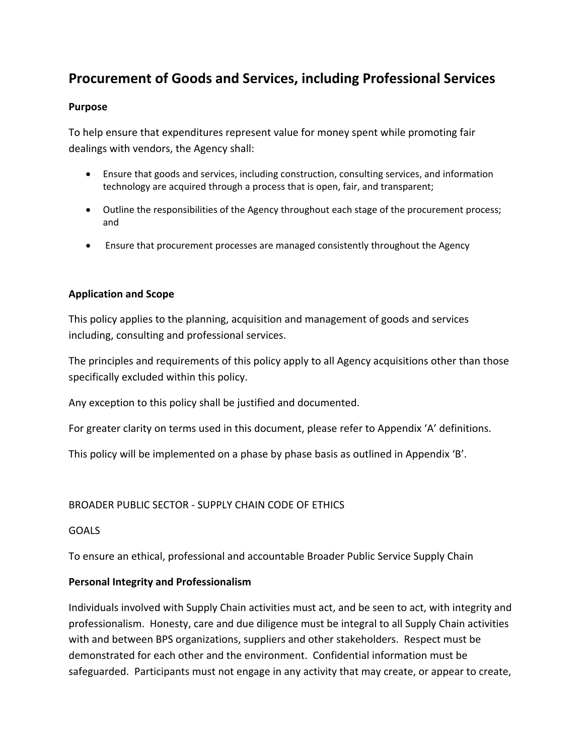# **Procurement of Goods and Services, including Professional Services**

# **Purpose**

To help ensure that expenditures represent value for money spent while promoting fair dealings with vendors, the Agency shall:

- Ensure that goods and services, including construction, consulting services, and information technology are acquired through a process that is open, fair, and transparent;
- Outline the responsibilities of the Agency throughout each stage of the procurement process; and
- Ensure that procurement processes are managed consistently throughout the Agency

# **Application and Scope**

This policy applies to the planning, acquisition and management of goods and services including, consulting and professional services.

The principles and requirements of this policy apply to all Agency acquisitions other than those specifically excluded within this policy.

Any exception to this policy shall be justified and documented.

For greater clarity on terms used in this document, please refer to Appendix 'A' definitions.

This policy will be implemented on a phase by phase basis as outlined in Appendix 'B'.

# BROADER PUBLIC SECTOR ‐ SUPPLY CHAIN CODE OF ETHICS

# **GOALS**

To ensure an ethical, professional and accountable Broader Public Service Supply Chain

# **Personal Integrity and Professionalism**

Individuals involved with Supply Chain activities must act, and be seen to act, with integrity and professionalism. Honesty, care and due diligence must be integral to all Supply Chain activities with and between BPS organizations, suppliers and other stakeholders. Respect must be demonstrated for each other and the environment. Confidential information must be safeguarded. Participants must not engage in any activity that may create, or appear to create,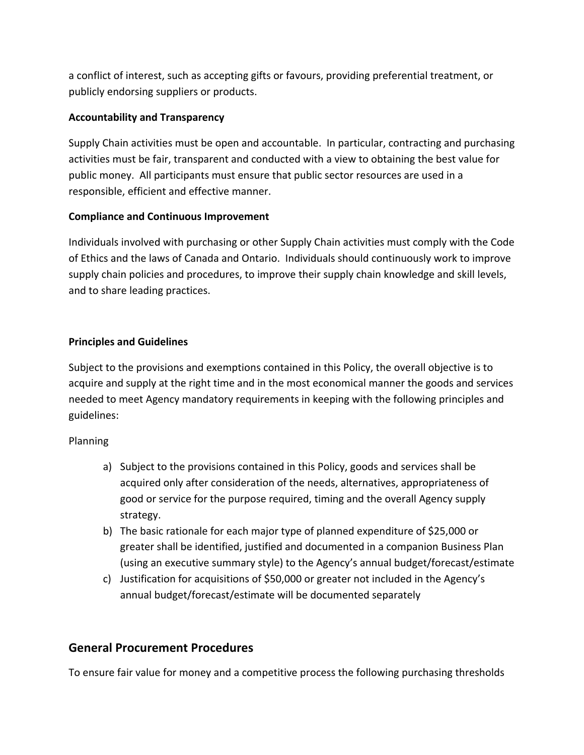a conflict of interest, such as accepting gifts or favours, providing preferential treatment, or publicly endorsing suppliers or products.

# **Accountability and Transparency**

Supply Chain activities must be open and accountable. In particular, contracting and purchasing activities must be fair, transparent and conducted with a view to obtaining the best value for public money. All participants must ensure that public sector resources are used in a responsible, efficient and effective manner.

# **Compliance and Continuous Improvement**

Individuals involved with purchasing or other Supply Chain activities must comply with the Code of Ethics and the laws of Canada and Ontario. Individuals should continuously work to improve supply chain policies and procedures, to improve their supply chain knowledge and skill levels, and to share leading practices.

# **Principles and Guidelines**

Subject to the provisions and exemptions contained in this Policy, the overall objective is to acquire and supply at the right time and in the most economical manner the goods and services needed to meet Agency mandatory requirements in keeping with the following principles and guidelines:

# Planning

- a) Subject to the provisions contained in this Policy, goods and services shall be acquired only after consideration of the needs, alternatives, appropriateness of good or service for the purpose required, timing and the overall Agency supply strategy.
- b) The basic rationale for each major type of planned expenditure of \$25,000 or greater shall be identified, justified and documented in a companion Business Plan (using an executive summary style) to the Agency's annual budget/forecast/estimate
- c) Justification for acquisitions of \$50,000 or greater not included in the Agency's annual budget/forecast/estimate will be documented separately

# **General Procurement Procedures**

To ensure fair value for money and a competitive process the following purchasing thresholds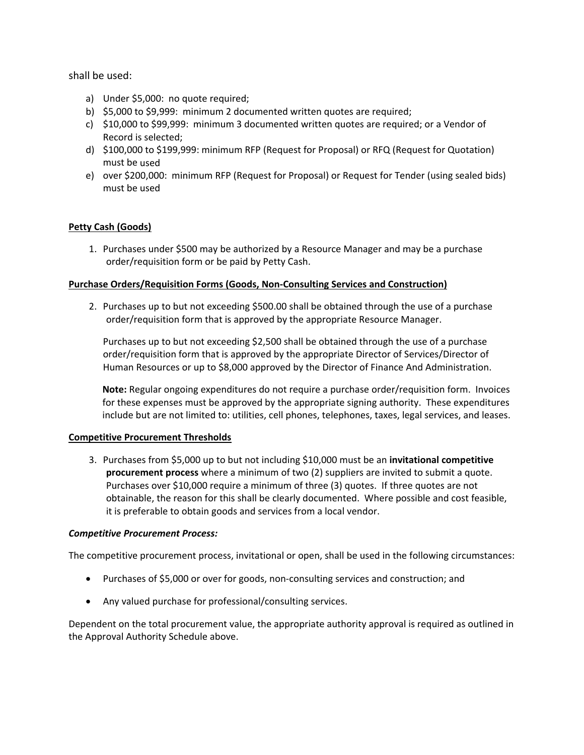## shall be used:

- a) Under \$5,000: no quote required;
- b) \$5,000 to \$9,999: minimum 2 documented written quotes are required;
- c) \$10,000 to \$99,999: minimum 3 documented written quotes are required; or a Vendor of Record is selected;
- d) \$100,000 to \$199,999: minimum RFP (Request for Proposal) or RFQ (Request for Quotation) must be used
- e) over \$200,000: minimum RFP (Request for Proposal) or Request for Tender (using sealed bids) must be used

## **Petty Cash (Goods)**

1. Purchases under \$500 may be authorized by a Resource Manager and may be a purchase order/requisition form or be paid by Petty Cash.

### **Purchase Orders/Requisition Forms (Goods, Non‐Consulting Services and Construction)**

2. Purchases up to but not exceeding \$500.00 shall be obtained through the use of a purchase order/requisition form that is approved by the appropriate Resource Manager.

Purchases up to but not exceeding \$2,500 shall be obtained through the use of a purchase order/requisition form that is approved by the appropriate Director of Services/Director of Human Resources or up to \$8,000 approved by the Director of Finance And Administration.

**Note:** Regular ongoing expenditures do not require a purchase order/requisition form. Invoices for these expenses must be approved by the appropriate signing authority. These expenditures include but are not limited to: utilities, cell phones, telephones, taxes, legal services, and leases.

## **Competitive Procurement Thresholds**

3. Purchases from \$5,000 up to but not including \$10,000 must be an **invitational competitive procurement process** where a minimum of two (2) suppliers are invited to submit a quote. Purchases over \$10,000 require a minimum of three (3) quotes. If three quotes are not obtainable, the reason for this shall be clearly documented. Where possible and cost feasible, it is preferable to obtain goods and services from a local vendor.

## *Competitive Procurement Process:*

The competitive procurement process, invitational or open, shall be used in the following circumstances:

- Purchases of \$5,000 or over for goods, non-consulting services and construction; and
- Any valued purchase for professional/consulting services.

Dependent on the total procurement value, the appropriate authority approval is required as outlined in the Approval Authority Schedule above.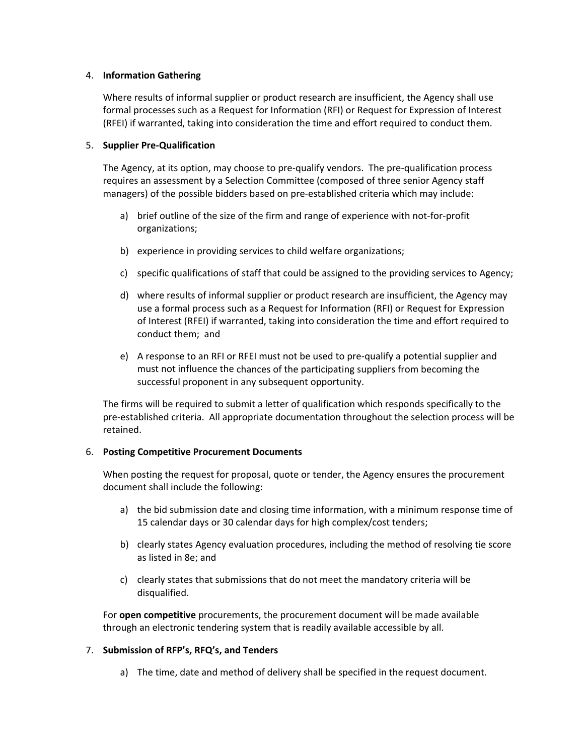## 4. **Information Gathering**

Where results of informal supplier or product research are insufficient, the Agency shall use formal processes such as a Request for Information (RFI) or Request for Expression of Interest (RFEI) if warranted, taking into consideration the time and effort required to conduct them.

### 5. **Supplier Pre‐Qualification**

The Agency, at its option, may choose to pre‐qualify vendors. The pre‐qualification process requires an assessment by a Selection Committee (composed of three senior Agency staff managers) of the possible bidders based on pre‐established criteria which may include:

- a) brief outline of the size of the firm and range of experience with not-for-profit organizations;
- b) experience in providing services to child welfare organizations;
- c) specific qualifications of staff that could be assigned to the providing services to Agency;
- d) where results of informal supplier or product research are insufficient, the Agency may use a formal process such as a Request for Information (RFI) or Request for Expression of Interest (RFEI) if warranted, taking into consideration the time and effort required to conduct them; and
- e) A response to an RFI or RFEI must not be used to pre-qualify a potential supplier and must not influence the chances of the participating suppliers from becoming the successful proponent in any subsequent opportunity.

The firms will be required to submit a letter of qualification which responds specifically to the pre‐established criteria. All appropriate documentation throughout the selection process will be retained.

## 6. **Posting Competitive Procurement Documents**

When posting the request for proposal, quote or tender, the Agency ensures the procurement document shall include the following:

- a) the bid submission date and closing time information, with a minimum response time of 15 calendar days or 30 calendar days for high complex/cost tenders;
- b) clearly states Agency evaluation procedures, including the method of resolving tie score as listed in 8e; and
- c) clearly states that submissions that do not meet the mandatory criteria will be disqualified.

For **open competitive** procurements, the procurement document will be made available through an electronic tendering system that is readily available accessible by all.

## 7. **Submission of RFP's, RFQ's, and Tenders**

a) The time, date and method of delivery shall be specified in the request document.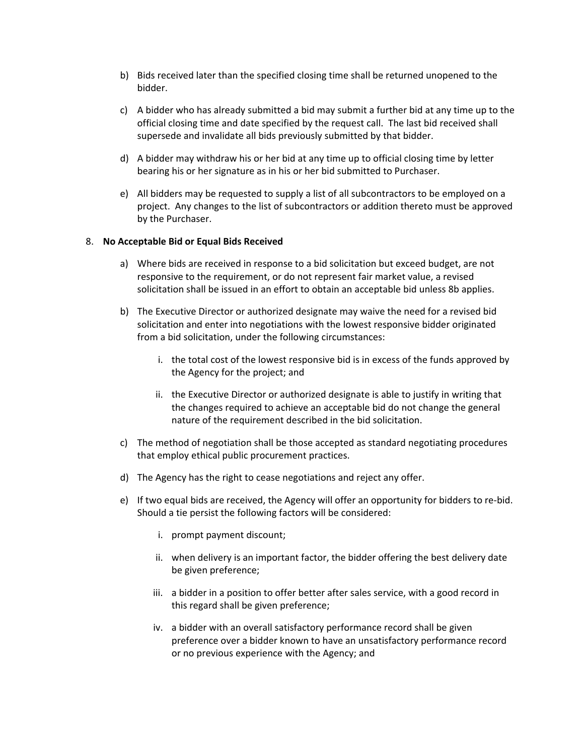- b) Bids received later than the specified closing time shall be returned unopened to the bidder.
- c) A bidder who has already submitted a bid may submit a further bid at any time up to the official closing time and date specified by the request call. The last bid received shall supersede and invalidate all bids previously submitted by that bidder.
- d) A bidder may withdraw his or her bid at any time up to official closing time by letter bearing his or her signature as in his or her bid submitted to Purchaser.
- e) All bidders may be requested to supply a list of all subcontractors to be employed on a project. Any changes to the list of subcontractors or addition thereto must be approved by the Purchaser.

#### 8. **No Acceptable Bid or Equal Bids Received**

- a) Where bids are received in response to a bid solicitation but exceed budget, are not responsive to the requirement, or do not represent fair market value, a revised solicitation shall be issued in an effort to obtain an acceptable bid unless 8b applies.
- b) The Executive Director or authorized designate may waive the need for a revised bid solicitation and enter into negotiations with the lowest responsive bidder originated from a bid solicitation, under the following circumstances:
	- i. the total cost of the lowest responsive bid is in excess of the funds approved by the Agency for the project; and
	- ii. the Executive Director or authorized designate is able to justify in writing that the changes required to achieve an acceptable bid do not change the general nature of the requirement described in the bid solicitation.
- c) The method of negotiation shall be those accepted as standard negotiating procedures that employ ethical public procurement practices.
- d) The Agency has the right to cease negotiations and reject any offer.
- e) If two equal bids are received, the Agency will offer an opportunity for bidders to re-bid. Should a tie persist the following factors will be considered:
	- i. prompt payment discount;
	- ii. when delivery is an important factor, the bidder offering the best delivery date be given preference;
	- iii. a bidder in a position to offer better after sales service, with a good record in this regard shall be given preference;
	- iv. a bidder with an overall satisfactory performance record shall be given preference over a bidder known to have an unsatisfactory performance record or no previous experience with the Agency; and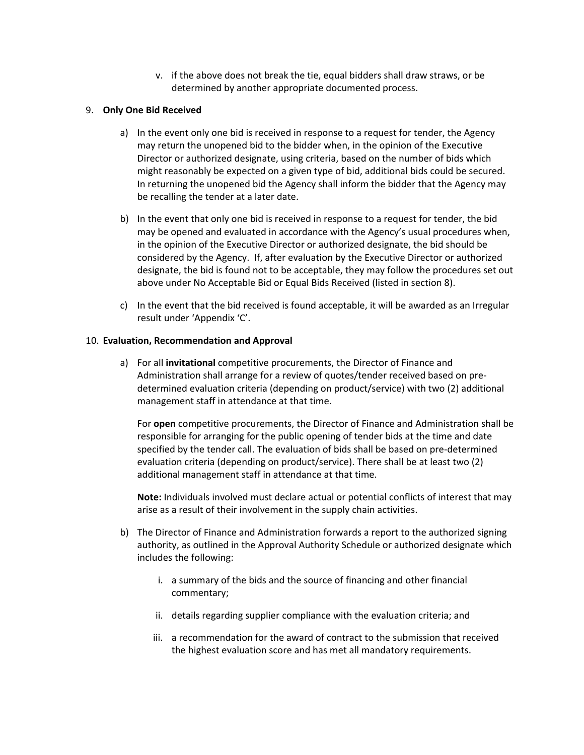v. if the above does not break the tie, equal bidders shall draw straws, or be determined by another appropriate documented process.

## 9. **Only One Bid Received**

- a) In the event only one bid is received in response to a request for tender, the Agency may return the unopened bid to the bidder when, in the opinion of the Executive Director or authorized designate, using criteria, based on the number of bids which might reasonably be expected on a given type of bid, additional bids could be secured. In returning the unopened bid the Agency shall inform the bidder that the Agency may be recalling the tender at a later date.
- b) In the event that only one bid is received in response to a request for tender, the bid may be opened and evaluated in accordance with the Agency's usual procedures when, in the opinion of the Executive Director or authorized designate, the bid should be considered by the Agency. If, after evaluation by the Executive Director or authorized designate, the bid is found not to be acceptable, they may follow the procedures set out above under No Acceptable Bid or Equal Bids Received (listed in section 8).
- c) In the event that the bid received is found acceptable, it will be awarded as an Irregular result under 'Appendix 'C'.

### 10. **Evaluation, Recommendation and Approval**

a) For all **invitational** competitive procurements, the Director of Finance and Administration shall arrange for a review of quotes/tender received based on pre‐ determined evaluation criteria (depending on product/service) with two (2) additional management staff in attendance at that time.

For **open** competitive procurements, the Director of Finance and Administration shall be responsible for arranging for the public opening of tender bids at the time and date specified by the tender call. The evaluation of bids shall be based on pre-determined evaluation criteria (depending on product/service). There shall be at least two (2) additional management staff in attendance at that time.

**Note:** Individuals involved must declare actual or potential conflicts of interest that may arise as a result of their involvement in the supply chain activities.

- b) The Director of Finance and Administration forwards a report to the authorized signing authority, as outlined in the Approval Authority Schedule or authorized designate which includes the following:
	- i. a summary of the bids and the source of financing and other financial commentary;
	- ii. details regarding supplier compliance with the evaluation criteria; and
	- iii. a recommendation for the award of contract to the submission that received the highest evaluation score and has met all mandatory requirements.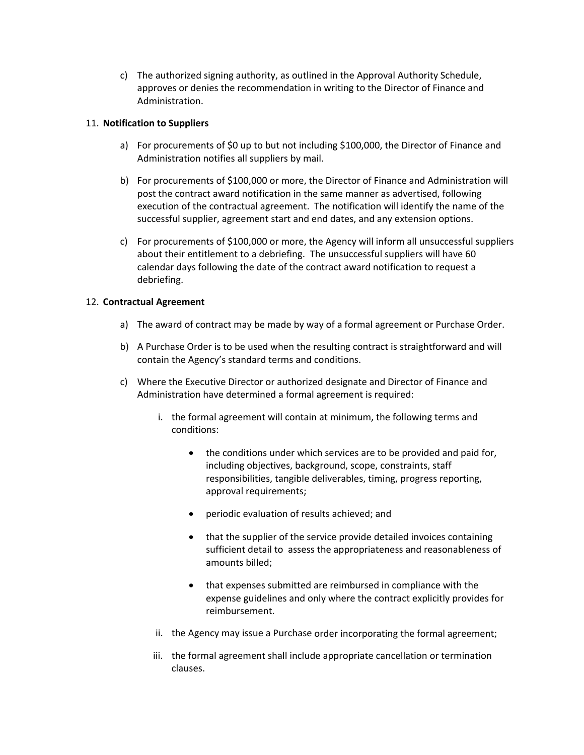c) The authorized signing authority, as outlined in the Approval Authority Schedule, approves or denies the recommendation in writing to the Director of Finance and Administration.

## 11. **Notification to Suppliers**

- a) For procurements of \$0 up to but not including \$100,000, the Director of Finance and Administration notifies all suppliers by mail.
- b) For procurements of \$100,000 or more, the Director of Finance and Administration will post the contract award notification in the same manner as advertised, following execution of the contractual agreement. The notification will identify the name of the successful supplier, agreement start and end dates, and any extension options.
- c) For procurements of \$100,000 or more, the Agency will inform all unsuccessful suppliers about their entitlement to a debriefing. The unsuccessful suppliers will have 60 calendar days following the date of the contract award notification to request a debriefing.

## 12. **Contractual Agreement**

- a) The award of contract may be made by way of a formal agreement or Purchase Order.
- b) A Purchase Order is to be used when the resulting contract is straightforward and will contain the Agency's standard terms and conditions.
- c) Where the Executive Director or authorized designate and Director of Finance and Administration have determined a formal agreement is required:
	- i. the formal agreement will contain at minimum, the following terms and conditions:
		- the conditions under which services are to be provided and paid for, including objectives, background, scope, constraints, staff responsibilities, tangible deliverables, timing, progress reporting, approval requirements;
		- periodic evaluation of results achieved; and
		- that the supplier of the service provide detailed invoices containing sufficient detail to assess the appropriateness and reasonableness of amounts billed;
		- that expenses submitted are reimbursed in compliance with the expense guidelines and only where the contract explicitly provides for reimbursement.
	- ii. the Agency may issue a Purchase order incorporating the formal agreement;
	- iii. the formal agreement shall include appropriate cancellation or termination clauses.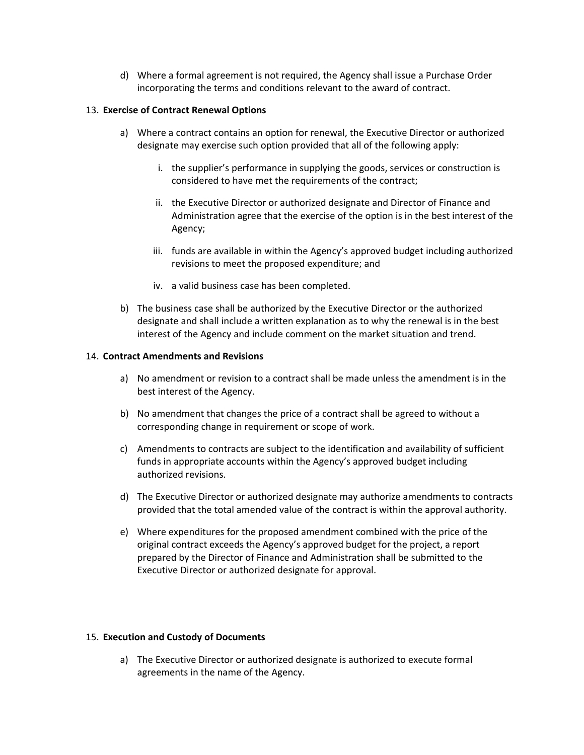d) Where a formal agreement is not required, the Agency shall issue a Purchase Order incorporating the terms and conditions relevant to the award of contract.

### 13. **Exercise of Contract Renewal Options**

- a) Where a contract contains an option for renewal, the Executive Director or authorized designate may exercise such option provided that all of the following apply:
	- i. the supplier's performance in supplying the goods, services or construction is considered to have met the requirements of the contract;
	- ii. the Executive Director or authorized designate and Director of Finance and Administration agree that the exercise of the option is in the best interest of the Agency;
	- iii. funds are available in within the Agency's approved budget including authorized revisions to meet the proposed expenditure; and
	- iv. a valid business case has been completed.
- b) The business case shall be authorized by the Executive Director or the authorized designate and shall include a written explanation as to why the renewal is in the best interest of the Agency and include comment on the market situation and trend.

### 14. **Contract Amendments and Revisions**

- a) No amendment or revision to a contract shall be made unless the amendment is in the best interest of the Agency.
- b) No amendment that changes the price of a contract shall be agreed to without a corresponding change in requirement or scope of work.
- c) Amendments to contracts are subject to the identification and availability of sufficient funds in appropriate accounts within the Agency's approved budget including authorized revisions.
- d) The Executive Director or authorized designate may authorize amendments to contracts provided that the total amended value of the contract is within the approval authority.
- e) Where expenditures for the proposed amendment combined with the price of the original contract exceeds the Agency's approved budget for the project, a report prepared by the Director of Finance and Administration shall be submitted to the Executive Director or authorized designate for approval.

#### 15. **Execution and Custody of Documents**

a) The Executive Director or authorized designate is authorized to execute formal agreements in the name of the Agency.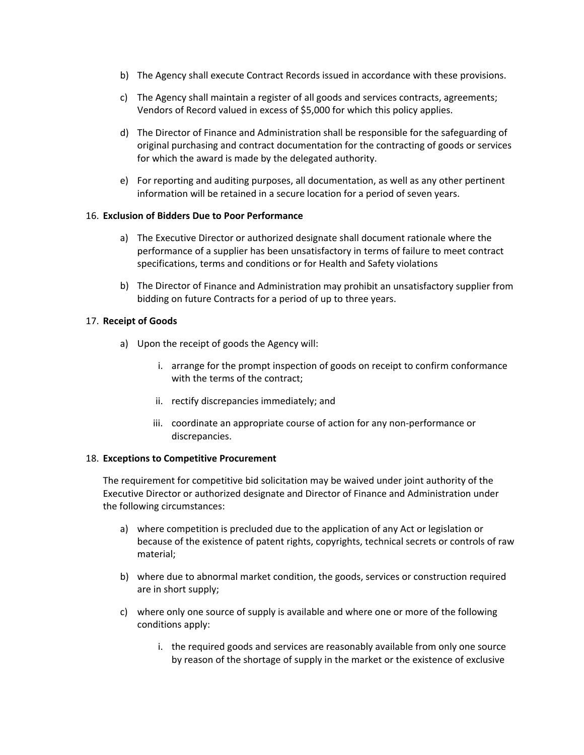- b) The Agency shall execute Contract Records issued in accordance with these provisions.
- c) The Agency shall maintain a register of all goods and services contracts, agreements; Vendors of Record valued in excess of \$5,000 for which this policy applies.
- d) The Director of Finance and Administration shall be responsible for the safeguarding of original purchasing and contract documentation for the contracting of goods or services for which the award is made by the delegated authority.
- e) For reporting and auditing purposes, all documentation, as well as any other pertinent information will be retained in a secure location for a period of seven years.

### 16. **Exclusion of Bidders Due to Poor Performance**

- a) The Executive Director or authorized designate shall document rationale where the performance of a supplier has been unsatisfactory in terms of failure to meet contract specifications, terms and conditions or for Health and Safety violations
- b) The Director of Finance and Administration may prohibit an unsatisfactory supplier from bidding on future Contracts for a period of up to three years.

### 17. **Receipt of Goods**

- a) Upon the receipt of goods the Agency will:
	- i. arrange for the prompt inspection of goods on receipt to confirm conformance with the terms of the contract;
	- ii. rectify discrepancies immediately; and
	- iii. coordinate an appropriate course of action for any non‐performance or discrepancies.

#### 18. **Exceptions to Competitive Procurement**

The requirement for competitive bid solicitation may be waived under joint authority of the Executive Director or authorized designate and Director of Finance and Administration under the following circumstances:

- a) where competition is precluded due to the application of any Act or legislation or because of the existence of patent rights, copyrights, technical secrets or controls of raw material;
- b) where due to abnormal market condition, the goods, services or construction required are in short supply;
- c) where only one source of supply is available and where one or more of the following conditions apply:
	- i. the required goods and services are reasonably available from only one source by reason of the shortage of supply in the market or the existence of exclusive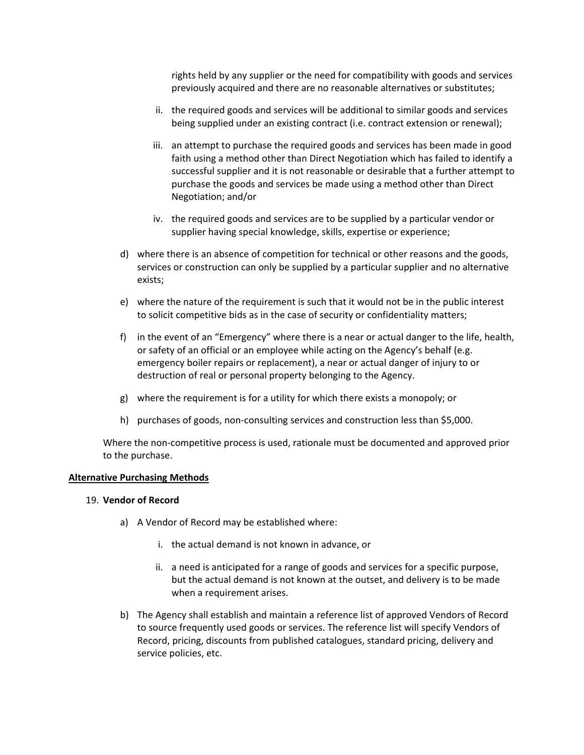rights held by any supplier or the need for compatibility with goods and services previously acquired and there are no reasonable alternatives or substitutes;

- ii. the required goods and services will be additional to similar goods and services being supplied under an existing contract (i.e. contract extension or renewal);
- iii. an attempt to purchase the required goods and services has been made in good faith using a method other than Direct Negotiation which has failed to identify a successful supplier and it is not reasonable or desirable that a further attempt to purchase the goods and services be made using a method other than Direct Negotiation; and/or
- iv. the required goods and services are to be supplied by a particular vendor or supplier having special knowledge, skills, expertise or experience;
- d) where there is an absence of competition for technical or other reasons and the goods, services or construction can only be supplied by a particular supplier and no alternative exists;
- e) where the nature of the requirement is such that it would not be in the public interest to solicit competitive bids as in the case of security or confidentiality matters;
- f) in the event of an "Emergency" where there is a near or actual danger to the life, health, or safety of an official or an employee while acting on the Agency's behalf (e.g. emergency boiler repairs or replacement), a near or actual danger of injury to or destruction of real or personal property belonging to the Agency.
- g) where the requirement is for a utility for which there exists a monopoly; or
- h) purchases of goods, non-consulting services and construction less than \$5,000.

Where the non‐competitive process is used, rationale must be documented and approved prior to the purchase.

#### **Alternative Purchasing Methods**

#### 19. **Vendor of Record**

- a) A Vendor of Record may be established where:
	- i. the actual demand is not known in advance, or
	- ii. a need is anticipated for a range of goods and services for a specific purpose, but the actual demand is not known at the outset, and delivery is to be made when a requirement arises.
- b) The Agency shall establish and maintain a reference list of approved Vendors of Record to source frequently used goods or services. The reference list will specify Vendors of Record, pricing, discounts from published catalogues, standard pricing, delivery and service policies, etc.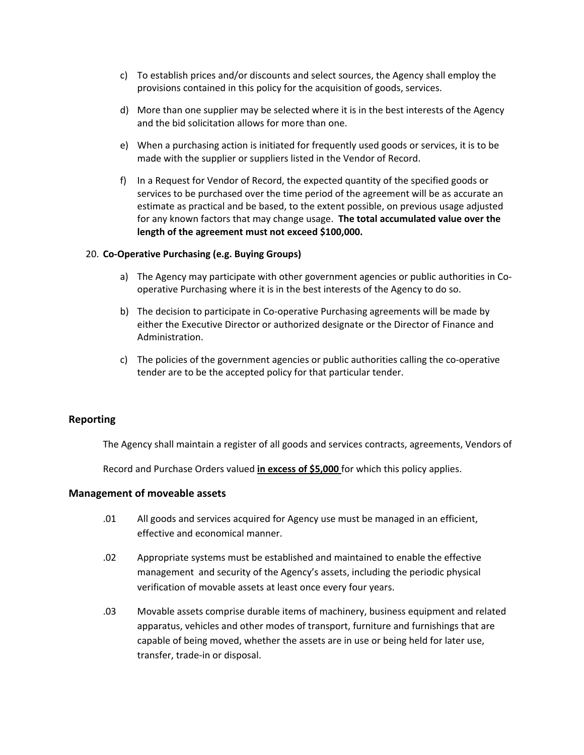- c) To establish prices and/or discounts and select sources, the Agency shall employ the provisions contained in this policy for the acquisition of goods, services.
- d) More than one supplier may be selected where it is in the best interests of the Agency and the bid solicitation allows for more than one.
- e) When a purchasing action is initiated for frequently used goods or services, it is to be made with the supplier or suppliers listed in the Vendor of Record.
- f) In a Request for Vendor of Record, the expected quantity of the specified goods or services to be purchased over the time period of the agreement will be as accurate an estimate as practical and be based, to the extent possible, on previous usage adjusted for any known factors that may change usage. **The total accumulated value over the length of the agreement must not exceed \$100,000.**

### 20. **Co‐Operative Purchasing (e.g. Buying Groups)**

- a) The Agency may participate with other government agencies or public authorities in Cooperative Purchasing where it is in the best interests of the Agency to do so.
- b) The decision to participate in Co‐operative Purchasing agreements will be made by either the Executive Director or authorized designate or the Director of Finance and Administration.
- c) The policies of the government agencies or public authorities calling the co-operative tender are to be the accepted policy for that particular tender.

## **Reporting**

The Agency shall maintain a register of all goods and services contracts, agreements, Vendors of

Record and Purchase Orders valued **in excess of \$5,000** for which this policy applies.

#### **Management of moveable assets**

- .01 All goods and services acquired for Agency use must be managed in an efficient, effective and economical manner.
- .02 Appropriate systems must be established and maintained to enable the effective management and security of the Agency's assets, including the periodic physical verification of movable assets at least once every four years.
- .03 Movable assets comprise durable items of machinery, business equipment and related apparatus, vehicles and other modes of transport, furniture and furnishings that are capable of being moved, whether the assets are in use or being held for later use, transfer, trade‐in or disposal.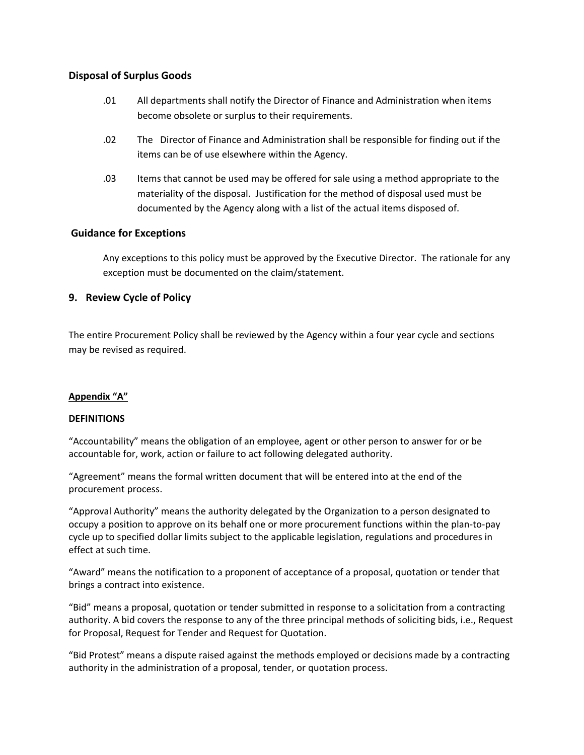## **Disposal of Surplus Goods**

- .01 All departments shall notify the Director of Finance and Administration when items become obsolete or surplus to their requirements.
- .02 The Director of Finance and Administration shall be responsible for finding out if the items can be of use elsewhere within the Agency.
- .03 Items that cannot be used may be offered for sale using a method appropriate to the materiality of the disposal. Justification for the method of disposal used must be documented by the Agency along with a list of the actual items disposed of.

## **Guidance for Exceptions**

Any exceptions to this policy must be approved by the Executive Director. The rationale for any exception must be documented on the claim/statement.

## **9. Review Cycle of Policy**

The entire Procurement Policy shall be reviewed by the Agency within a four year cycle and sections may be revised as required.

## **Appendix "A"**

## **DEFINITIONS**

"Accountability" means the obligation of an employee, agent or other person to answer for or be accountable for, work, action or failure to act following delegated authority.

"Agreement" means the formal written document that will be entered into at the end of the procurement process.

"Approval Authority" means the authority delegated by the Organization to a person designated to occupy a position to approve on its behalf one or more procurement functions within the plan‐to‐pay cycle up to specified dollar limits subject to the applicable legislation, regulations and procedures in effect at such time.

"Award" means the notification to a proponent of acceptance of a proposal, quotation or tender that brings a contract into existence.

"Bid" means a proposal, quotation or tender submitted in response to a solicitation from a contracting authority. A bid covers the response to any of the three principal methods of soliciting bids, i.e., Request for Proposal, Request for Tender and Request for Quotation.

"Bid Protest" means a dispute raised against the methods employed or decisions made by a contracting authority in the administration of a proposal, tender, or quotation process.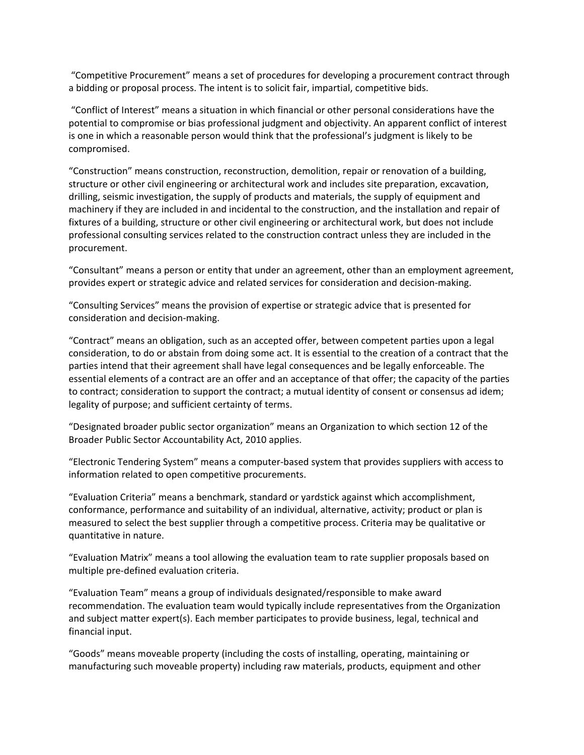"Competitive Procurement" means a set of procedures for developing a procurement contract through a bidding or proposal process. The intent is to solicit fair, impartial, competitive bids.

"Conflict of Interest" means a situation in which financial or other personal considerations have the potential to compromise or bias professional judgment and objectivity. An apparent conflict of interest is one in which a reasonable person would think that the professional's judgment is likely to be compromised.

"Construction" means construction, reconstruction, demolition, repair or renovation of a building, structure or other civil engineering or architectural work and includes site preparation, excavation, drilling, seismic investigation, the supply of products and materials, the supply of equipment and machinery if they are included in and incidental to the construction, and the installation and repair of fixtures of a building, structure or other civil engineering or architectural work, but does not include professional consulting services related to the construction contract unless they are included in the procurement.

"Consultant" means a person or entity that under an agreement, other than an employment agreement, provides expert or strategic advice and related services for consideration and decision‐making.

"Consulting Services" means the provision of expertise or strategic advice that is presented for consideration and decision‐making.

"Contract" means an obligation, such as an accepted offer, between competent parties upon a legal consideration, to do or abstain from doing some act. It is essential to the creation of a contract that the parties intend that their agreement shall have legal consequences and be legally enforceable. The essential elements of a contract are an offer and an acceptance of that offer; the capacity of the parties to contract; consideration to support the contract; a mutual identity of consent or consensus ad idem; legality of purpose; and sufficient certainty of terms.

"Designated broader public sector organization" means an Organization to which section 12 of the Broader Public Sector Accountability Act, 2010 applies.

"Electronic Tendering System" means a computer‐based system that provides suppliers with access to information related to open competitive procurements.

"Evaluation Criteria" means a benchmark, standard or yardstick against which accomplishment, conformance, performance and suitability of an individual, alternative, activity; product or plan is measured to select the best supplier through a competitive process. Criteria may be qualitative or quantitative in nature.

"Evaluation Matrix" means a tool allowing the evaluation team to rate supplier proposals based on multiple pre‐defined evaluation criteria.

"Evaluation Team" means a group of individuals designated/responsible to make award recommendation. The evaluation team would typically include representatives from the Organization and subject matter expert(s). Each member participates to provide business, legal, technical and financial input.

"Goods" means moveable property (including the costs of installing, operating, maintaining or manufacturing such moveable property) including raw materials, products, equipment and other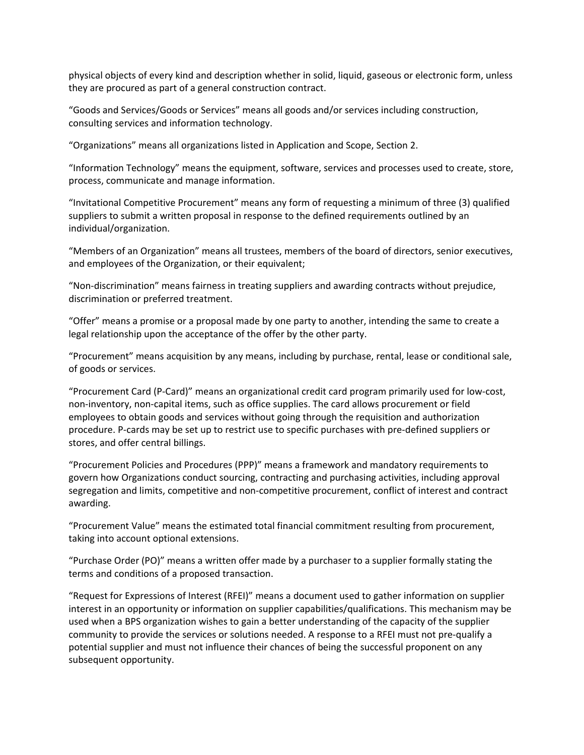physical objects of every kind and description whether in solid, liquid, gaseous or electronic form, unless they are procured as part of a general construction contract.

"Goods and Services/Goods or Services" means all goods and/or services including construction, consulting services and information technology.

"Organizations" means all organizations listed in Application and Scope, Section 2.

"Information Technology" means the equipment, software, services and processes used to create, store, process, communicate and manage information.

"Invitational Competitive Procurement" means any form of requesting a minimum of three (3) qualified suppliers to submit a written proposal in response to the defined requirements outlined by an individual/organization.

"Members of an Organization" means all trustees, members of the board of directors, senior executives, and employees of the Organization, or their equivalent;

"Non‐discrimination" means fairness in treating suppliers and awarding contracts without prejudice, discrimination or preferred treatment.

"Offer" means a promise or a proposal made by one party to another, intending the same to create a legal relationship upon the acceptance of the offer by the other party.

"Procurement" means acquisition by any means, including by purchase, rental, lease or conditional sale, of goods or services.

"Procurement Card (P‐Card)" means an organizational credit card program primarily used for low‐cost, non-inventory, non-capital items, such as office supplies. The card allows procurement or field employees to obtain goods and services without going through the requisition and authorization procedure. P‐cards may be set up to restrict use to specific purchases with pre‐defined suppliers or stores, and offer central billings.

"Procurement Policies and Procedures (PPP)" means a framework and mandatory requirements to govern how Organizations conduct sourcing, contracting and purchasing activities, including approval segregation and limits, competitive and non-competitive procurement, conflict of interest and contract awarding.

"Procurement Value" means the estimated total financial commitment resulting from procurement, taking into account optional extensions.

"Purchase Order (PO)" means a written offer made by a purchaser to a supplier formally stating the terms and conditions of a proposed transaction.

"Request for Expressions of Interest (RFEI)" means a document used to gather information on supplier interest in an opportunity or information on supplier capabilities/qualifications. This mechanism may be used when a BPS organization wishes to gain a better understanding of the capacity of the supplier community to provide the services or solutions needed. A response to a RFEI must not pre‐qualify a potential supplier and must not influence their chances of being the successful proponent on any subsequent opportunity.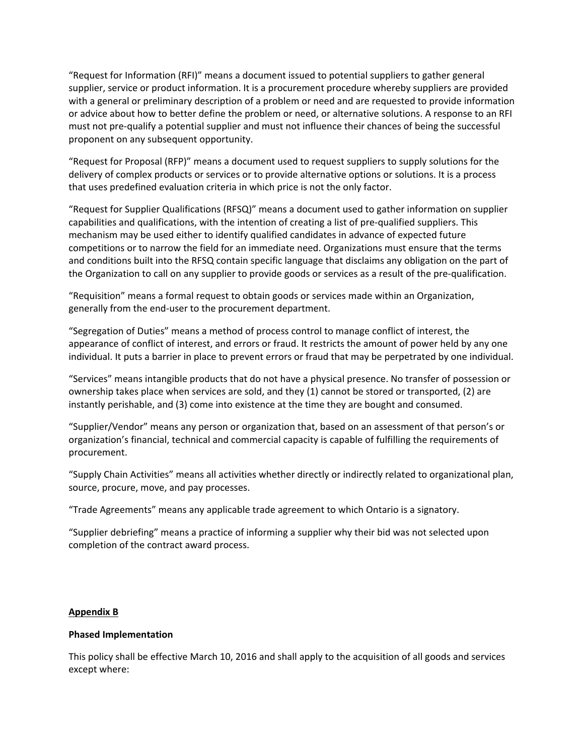"Request for Information (RFI)" means a document issued to potential suppliers to gather general supplier, service or product information. It is a procurement procedure whereby suppliers are provided with a general or preliminary description of a problem or need and are requested to provide information or advice about how to better define the problem or need, or alternative solutions. A response to an RFI must not pre‐qualify a potential supplier and must not influence their chances of being the successful proponent on any subsequent opportunity.

"Request for Proposal (RFP)" means a document used to request suppliers to supply solutions for the delivery of complex products or services or to provide alternative options or solutions. It is a process that uses predefined evaluation criteria in which price is not the only factor.

"Request for Supplier Qualifications (RFSQ)" means a document used to gather information on supplier capabilities and qualifications, with the intention of creating a list of pre‐qualified suppliers. This mechanism may be used either to identify qualified candidates in advance of expected future competitions or to narrow the field for an immediate need. Organizations must ensure that the terms and conditions built into the RFSQ contain specific language that disclaims any obligation on the part of the Organization to call on any supplier to provide goods or services as a result of the pre‐qualification.

"Requisition" means a formal request to obtain goods or services made within an Organization, generally from the end‐user to the procurement department.

"Segregation of Duties" means a method of process control to manage conflict of interest, the appearance of conflict of interest, and errors or fraud. It restricts the amount of power held by any one individual. It puts a barrier in place to prevent errors or fraud that may be perpetrated by one individual.

"Services" means intangible products that do not have a physical presence. No transfer of possession or ownership takes place when services are sold, and they (1) cannot be stored or transported, (2) are instantly perishable, and (3) come into existence at the time they are bought and consumed.

"Supplier/Vendor" means any person or organization that, based on an assessment of that person's or organization's financial, technical and commercial capacity is capable of fulfilling the requirements of procurement.

"Supply Chain Activities" means all activities whether directly or indirectly related to organizational plan, source, procure, move, and pay processes.

"Trade Agreements" means any applicable trade agreement to which Ontario is a signatory.

"Supplier debriefing" means a practice of informing a supplier why their bid was not selected upon completion of the contract award process.

#### **Appendix B**

#### **Phased Implementation**

This policy shall be effective March 10, 2016 and shall apply to the acquisition of all goods and services except where: